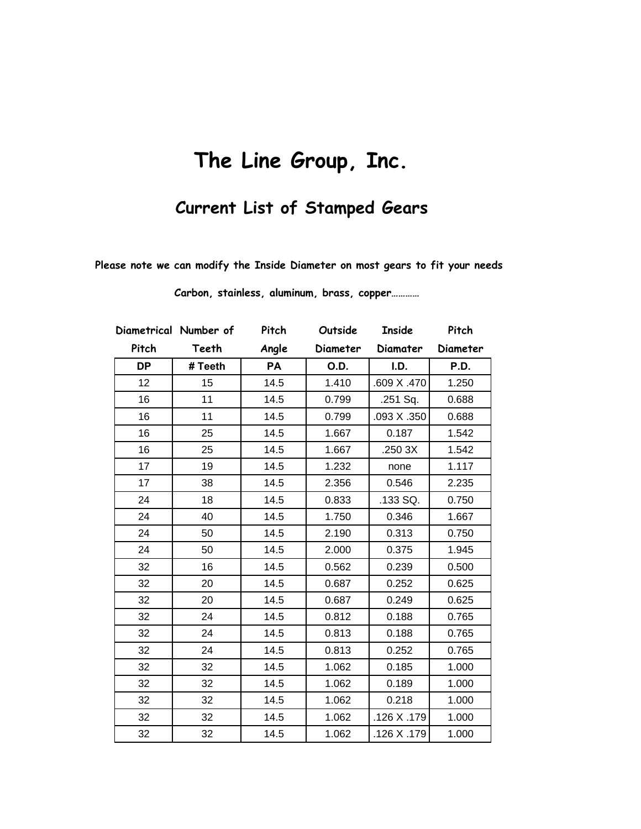## **The Line Group, Inc.**

## **Current List of Stamped Gears**

 **Please note we can modify the Inside Diameter on most gears to fit your needs**

|           | Diametrical Number of | Pitch | Outside  | <b>Inside</b> | Pitch    |
|-----------|-----------------------|-------|----------|---------------|----------|
| Pitch     | Teeth                 | Angle | Diameter | Diamater      | Diameter |
| <b>DP</b> | # Teeth               | PA    | O.D.     | I.D.          | P.D.     |
| 12        | 15                    | 14.5  | 1.410    | .609 X .470   | 1.250    |
| 16        | 11                    | 14.5  | 0.799    | .251 Sq.      | 0.688    |
| 16        | 11                    | 14.5  | 0.799    | .093 X .350   | 0.688    |
| 16        | 25                    | 14.5  | 1.667    | 0.187         | 1.542    |
| 16        | 25                    | 14.5  | 1.667    | .250 3X       | 1.542    |
| 17        | 19                    | 14.5  | 1.232    | none          | 1.117    |
| 17        | 38                    | 14.5  | 2.356    | 0.546         | 2.235    |
| 24        | 18                    | 14.5  | 0.833    | .133 SQ.      | 0.750    |
| 24        | 40                    | 14.5  | 1.750    | 0.346         | 1.667    |
| 24        | 50                    | 14.5  | 2.190    | 0.313         | 0.750    |
| 24        | 50                    | 14.5  | 2.000    | 0.375         | 1.945    |
| 32        | 16                    | 14.5  | 0.562    | 0.239         | 0.500    |
| 32        | 20                    | 14.5  | 0.687    | 0.252         | 0.625    |
| 32        | 20                    | 14.5  | 0.687    | 0.249         | 0.625    |
| 32        | 24                    | 14.5  | 0.812    | 0.188         | 0.765    |
| 32        | 24                    | 14.5  | 0.813    | 0.188         | 0.765    |
| 32        | 24                    | 14.5  | 0.813    | 0.252         | 0.765    |
| 32        | 32                    | 14.5  | 1.062    | 0.185         | 1.000    |
| 32        | 32                    | 14.5  | 1.062    | 0.189         | 1.000    |
| 32        | 32                    | 14.5  | 1.062    | 0.218         | 1.000    |
| 32        | 32                    | 14.5  | 1.062    | .126 X .179   | 1.000    |
| 32        | 32                    | 14.5  | 1.062    | .126 X .179   | 1.000    |

**Carbon, stainless, aluminum, brass, copper…………**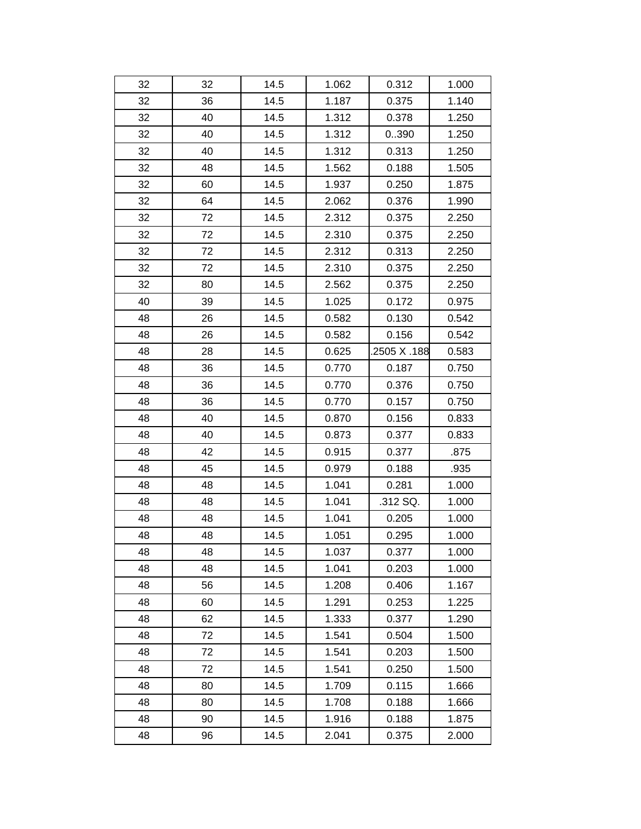| 32 | 32 | 14.5 | 1.062 | 0.312        | 1.000 |
|----|----|------|-------|--------------|-------|
| 32 | 36 | 14.5 | 1.187 | 0.375        | 1.140 |
| 32 | 40 | 14.5 | 1.312 | 0.378        | 1.250 |
| 32 | 40 | 14.5 | 1.312 | 0.390        | 1.250 |
| 32 | 40 | 14.5 | 1.312 | 0.313        | 1.250 |
| 32 | 48 | 14.5 | 1.562 | 0.188        | 1.505 |
| 32 | 60 | 14.5 | 1.937 | 0.250        | 1.875 |
| 32 | 64 | 14.5 | 2.062 | 0.376        | 1.990 |
| 32 | 72 | 14.5 | 2.312 | 0.375        | 2.250 |
| 32 | 72 | 14.5 | 2.310 | 0.375        | 2.250 |
| 32 | 72 | 14.5 | 2.312 | 0.313        | 2.250 |
| 32 | 72 | 14.5 | 2.310 | 0.375        | 2.250 |
| 32 | 80 | 14.5 | 2.562 | 0.375        | 2.250 |
| 40 | 39 | 14.5 | 1.025 | 0.172        | 0.975 |
| 48 | 26 | 14.5 | 0.582 | 0.130        | 0.542 |
| 48 | 26 | 14.5 | 0.582 | 0.156        | 0.542 |
| 48 | 28 | 14.5 | 0.625 | .2505 X .188 | 0.583 |
| 48 | 36 | 14.5 | 0.770 | 0.187        | 0.750 |
| 48 | 36 | 14.5 | 0.770 | 0.376        | 0.750 |
| 48 | 36 | 14.5 | 0.770 | 0.157        | 0.750 |
| 48 | 40 | 14.5 | 0.870 | 0.156        | 0.833 |
| 48 | 40 | 14.5 | 0.873 | 0.377        | 0.833 |
| 48 | 42 | 14.5 | 0.915 | 0.377        | .875  |
| 48 | 45 | 14.5 | 0.979 | 0.188        | .935  |
| 48 | 48 | 14.5 | 1.041 | 0.281        | 1.000 |
| 48 | 48 | 14.5 | 1.041 | .312 SQ.     | 1.000 |
| 48 | 48 | 14.5 | 1.041 | 0.205        | 1.000 |
| 48 | 48 | 14.5 | 1.051 | 0.295        | 1.000 |
| 48 | 48 | 14.5 | 1.037 | 0.377        | 1.000 |
| 48 | 48 | 14.5 | 1.041 | 0.203        | 1.000 |
| 48 | 56 | 14.5 | 1.208 | 0.406        | 1.167 |
| 48 | 60 | 14.5 | 1.291 | 0.253        | 1.225 |
| 48 | 62 | 14.5 | 1.333 | 0.377        | 1.290 |
| 48 | 72 | 14.5 | 1.541 | 0.504        | 1.500 |
| 48 | 72 | 14.5 | 1.541 | 0.203        | 1.500 |
| 48 | 72 | 14.5 | 1.541 | 0.250        | 1.500 |
| 48 | 80 | 14.5 | 1.709 | 0.115        | 1.666 |
| 48 | 80 | 14.5 | 1.708 | 0.188        | 1.666 |
| 48 | 90 | 14.5 | 1.916 | 0.188        | 1.875 |
| 48 | 96 | 14.5 | 2.041 | 0.375        | 2.000 |